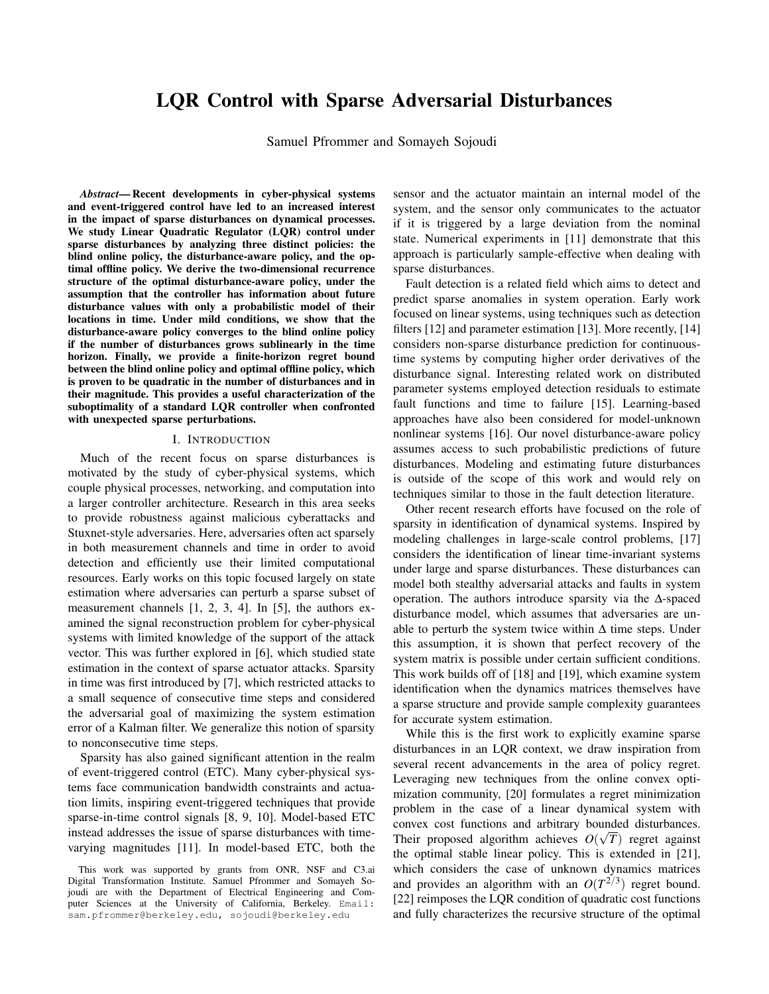# LQR Control with Sparse Adversarial Disturbances

Samuel Pfrommer and Somayeh Sojoudi

*Abstract*— Recent developments in cyber-physical systems and event-triggered control have led to an increased interest in the impact of sparse disturbances on dynamical processes. We study Linear Quadratic Regulator (LQR) control under sparse disturbances by analyzing three distinct policies: the blind online policy, the disturbance-aware policy, and the optimal offline policy. We derive the two-dimensional recurrence structure of the optimal disturbance-aware policy, under the assumption that the controller has information about future disturbance values with only a probabilistic model of their locations in time. Under mild conditions, we show that the disturbance-aware policy converges to the blind online policy if the number of disturbances grows sublinearly in the time horizon. Finally, we provide a finite-horizon regret bound between the blind online policy and optimal offline policy, which is proven to be quadratic in the number of disturbances and in their magnitude. This provides a useful characterization of the suboptimality of a standard LQR controller when confronted with unexpected sparse perturbations.

#### I. INTRODUCTION

Much of the recent focus on sparse disturbances is motivated by the study of cyber-physical systems, which couple physical processes, networking, and computation into a larger controller architecture. Research in this area seeks to provide robustness against malicious cyberattacks and Stuxnet-style adversaries. Here, adversaries often act sparsely in both measurement channels and time in order to avoid detection and efficiently use their limited computational resources. Early works on this topic focused largely on state estimation where adversaries can perturb a sparse subset of measurement channels [1, 2, 3, 4]. In [5], the authors examined the signal reconstruction problem for cyber-physical systems with limited knowledge of the support of the attack vector. This was further explored in [6], which studied state estimation in the context of sparse actuator attacks. Sparsity in time was first introduced by [7], which restricted attacks to a small sequence of consecutive time steps and considered the adversarial goal of maximizing the system estimation error of a Kalman filter. We generalize this notion of sparsity to nonconsecutive time steps.

Sparsity has also gained significant attention in the realm of event-triggered control (ETC). Many cyber-physical systems face communication bandwidth constraints and actuation limits, inspiring event-triggered techniques that provide sparse-in-time control signals [8, 9, 10]. Model-based ETC instead addresses the issue of sparse disturbances with timevarying magnitudes [11]. In model-based ETC, both the sensor and the actuator maintain an internal model of the system, and the sensor only communicates to the actuator if it is triggered by a large deviation from the nominal state. Numerical experiments in [11] demonstrate that this approach is particularly sample-effective when dealing with sparse disturbances.

Fault detection is a related field which aims to detect and predict sparse anomalies in system operation. Early work focused on linear systems, using techniques such as detection filters [12] and parameter estimation [13]. More recently, [14] considers non-sparse disturbance prediction for continuoustime systems by computing higher order derivatives of the disturbance signal. Interesting related work on distributed parameter systems employed detection residuals to estimate fault functions and time to failure [15]. Learning-based approaches have also been considered for model-unknown nonlinear systems [16]. Our novel disturbance-aware policy assumes access to such probabilistic predictions of future disturbances. Modeling and estimating future disturbances is outside of the scope of this work and would rely on techniques similar to those in the fault detection literature.

Other recent research efforts have focused on the role of sparsity in identification of dynamical systems. Inspired by modeling challenges in large-scale control problems, [17] considers the identification of linear time-invariant systems under large and sparse disturbances. These disturbances can model both stealthy adversarial attacks and faults in system operation. The authors introduce sparsity via the ∆-spaced disturbance model, which assumes that adversaries are unable to perturb the system twice within  $\Delta$  time steps. Under this assumption, it is shown that perfect recovery of the system matrix is possible under certain sufficient conditions. This work builds off of [18] and [19], which examine system identification when the dynamics matrices themselves have a sparse structure and provide sample complexity guarantees for accurate system estimation.

While this is the first work to explicitly examine sparse disturbances in an LQR context, we draw inspiration from several recent advancements in the area of policy regret. Leveraging new techniques from the online convex optimization community, [20] formulates a regret minimization problem in the case of a linear dynamical system with convex cost functions and arbitrary bounded disturbances. Their proposed algorithm achieves  $O(\sqrt{T})$  regret against the optimal stable linear policy. This is extended in [21], which considers the case of unknown dynamics matrices and provides an algorithm with an  $O(T^{2/3})$  regret bound. [22] reimposes the LQR condition of quadratic cost functions and fully characterizes the recursive structure of the optimal

This work was supported by grants from ONR, NSF and C3.ai Digital Transformation Institute. Samuel Pfrommer and Somayeh Sojoudi are with the Department of Electrical Engineering and Computer Sciences at the University of California, Berkeley. Email: sam.pfrommer@berkeley.edu, sojoudi@berkeley.edu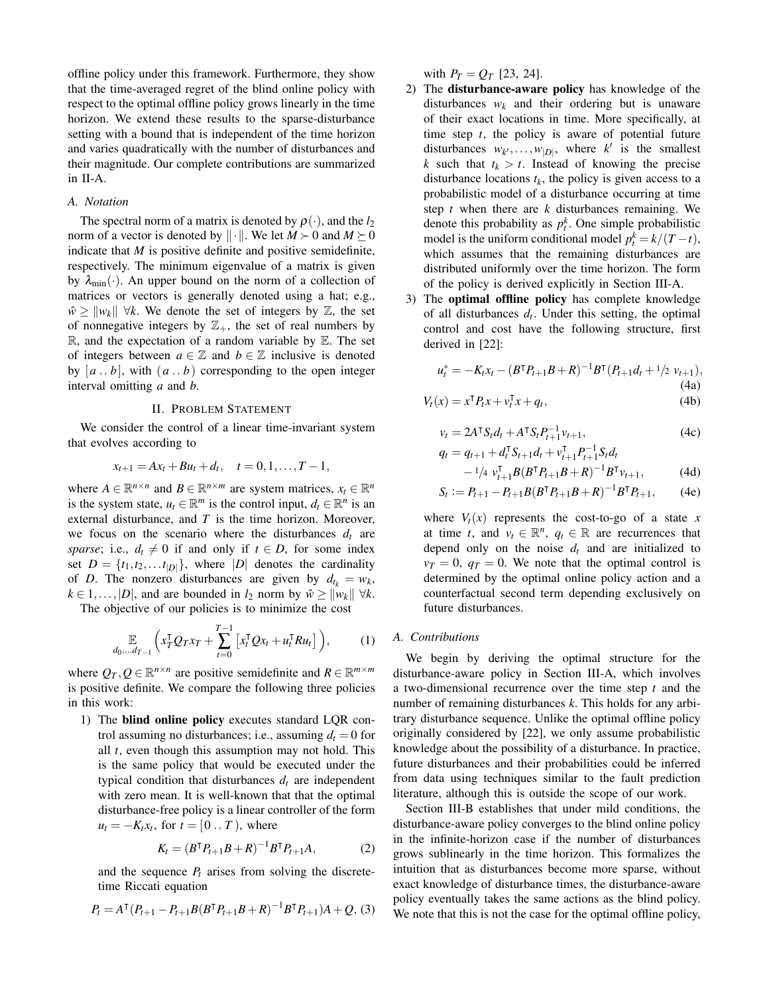offline policy under this framework. Furthermore, they show that the time-averaged regret of the blind online policy with respect to the optimal offline policy grows linearly in the time horizon. We extend these results to the sparse-disturbance setting with a bound that is independent of the time horizon and varies quadratically with the number of disturbances and their magnitude. Our complete contributions are summarized in II-A.

## *A. Notation*

The spectral norm of a matrix is denoted by  $\rho(\cdot)$ , and the  $l_2$ norm of a vector is denoted by  $\|\cdot\|$ . We let  $M \geq 0$  and  $M \geq 0$ indicate that *M* is positive definite and positive semidefinite, respectively. The minimum eigenvalue of a matrix is given by  $\lambda_{\min}(\cdot)$ . An upper bound on the norm of a collection of matrices or vectors is generally denoted using a hat; e.g.,  $\hat{w} \ge ||w_k|| \forall k$ . We denote the set of integers by  $\mathbb{Z}$ , the set of nonnegative integers by  $\mathbb{Z}_+$ , the set of real numbers by  $\mathbb{R}$ , and the expectation of a random variable by  $\mathbb{E}$ . The set of integers between  $a \in \mathbb{Z}$  and  $b \in \mathbb{Z}$  inclusive is denoted by  $[a \dots b]$ , with  $(a \dots b)$  corresponding to the open integer interval omitting *a* and *b*.

### II. PROBLEM STATEMENT

We consider the control of a linear time-invariant system that evolves according to

$$
x_{t+1} = Ax_t + Bu_t + d_t, \quad t = 0, 1, \ldots, T-1,
$$

where  $A \in \mathbb{R}^{n \times n}$  and  $B \in \mathbb{R}^{n \times m}$  are system matrices,  $x_t \in \mathbb{R}^n$ is the system state,  $u_t \in \mathbb{R}^m$  is the control input,  $d_t \in \mathbb{R}^n$  is an external disturbance, and *T* is the time horizon. Moreover, we focus on the scenario where the disturbances  $d_t$  are *sparse*; i.e.,  $d_t \neq 0$  if and only if  $t \in D$ , for some index set  $D = \{t_1, t_2, \ldots, t_{|D|}\}$ , where  $|D|$  denotes the cardinality of *D*. The nonzero disturbances are given by  $d_{t_k} = w_k$ ,  $k \in 1, \ldots, |D|$ , and are bounded in *l*<sub>2</sub> norm by  $\hat{w} \ge ||w_k|| \forall k$ .

The objective of our policies is to minimize the cost

$$
\mathbb{E}_{d_0,\ldots d_{T-1}}\left(x_T^{\mathsf{T}}Q_T x_T + \sum_{t=0}^{T-1} \left[x_t^{\mathsf{T}}Q x_t + u_t^{\mathsf{T}} R u_t\right]\right),\tag{1}
$$

where  $Q_T, Q \in \mathbb{R}^{n \times n}$  are positive semidefinite and  $R \in \mathbb{R}^{m \times m}$ is positive definite. We compare the following three policies in this work:

1) The blind online policy executes standard LQR control assuming no disturbances; i.e., assuming  $d_t = 0$  for all *t*, even though this assumption may not hold. This is the same policy that would be executed under the typical condition that disturbances  $d_t$  are independent with zero mean. It is well-known that that the optimal disturbance-free policy is a linear controller of the form  $u_t = -K_t x_t$ , for  $t = [0 \dots T)$ , where

$$
K_t = (B^{\mathsf{T}} P_{t+1} B + R)^{-1} B^{\mathsf{T}} P_{t+1} A, \tag{2}
$$

and the sequence  $P_t$  arises from solving the discretetime Riccati equation

$$
P_t = A^{\mathsf{T}} (P_{t+1} - P_{t+1} B (B^{\mathsf{T}} P_{t+1} B + R)^{-1} B^{\mathsf{T}} P_{t+1}) A + Q, (3)
$$

with  $P_T = Q_T$  [23, 24].

- 2) The disturbance-aware policy has knowledge of the disturbances  $w_k$  and their ordering but is unaware of their exact locations in time. More specifically, at time step *t*, the policy is aware of potential future disturbances  $w_{k'}, \ldots, w_{|D|}$ , where *k*<sup> $\prime$ </sup> is the smallest *k* such that  $t_k > t$ . Instead of knowing the precise disturbance locations  $t_k$ , the policy is given access to a probabilistic model of a disturbance occurring at time step *t* when there are *k* disturbances remaining. We denote this probability as  $p_t^k$ . One simple probabilistic model is the uniform conditional model  $p_t^k = k/(T-t)$ , which assumes that the remaining disturbances are distributed uniformly over the time horizon. The form of the policy is derived explicitly in Section III-A.
- 3) The optimal offline policy has complete knowledge of all disturbances  $d_t$ . Under this setting, the optimal control and cost have the following structure, first derived in [22]:

$$
u_t^* = -K_t x_t - (B^{\mathsf{T}} P_{t+1} B + R)^{-1} B^{\mathsf{T}} (P_{t+1} d_t + 1/2 \ v_{t+1}),
$$
\n(4a)

$$
V_t(x) = x^{\mathsf{T}} P_t x + v_t^{\mathsf{T}} x + q_t,
$$
\n(4b)

$$
v_t = 2A^{\mathsf{T}} S_t d_t + A^{\mathsf{T}} S_t P_{t+1}^{-1} v_{t+1},
$$
  
\n
$$
q_t = q_{t+1} + d_t^{\mathsf{T}} S_{t+1} d_t + v_{t+1}^{\mathsf{T}} P_{t+1}^{-1} S_t d_t
$$
\n(4c)

$$
- \frac{1}{4} \nu_{t+1}^{\mathrm{T}} B (B^{\mathrm{T}} P_{t+1} B + R)^{-1} B^{\mathrm{T}} \nu_{t+1}, \tag{4d}
$$

$$
S_t := P_{t+1} - P_{t+1} B (B^{\mathsf{T}} P_{t+1} B + R)^{-1} B^{\mathsf{T}} P_{t+1}, \qquad (4e)
$$

where  $V_t(x)$  represents the cost-to-go of a state *x* at time *t*, and  $v_t \in \mathbb{R}^n$ ,  $q_t \in \mathbb{R}$  are recurrences that depend only on the noise  $d_t$  and are initialized to  $v_T = 0$ ,  $q_T = 0$ . We note that the optimal control is determined by the optimal online policy action and a counterfactual second term depending exclusively on future disturbances.

## *A. Contributions*

We begin by deriving the optimal structure for the disturbance-aware policy in Section III-A, which involves a two-dimensional recurrence over the time step *t* and the number of remaining disturbances *k*. This holds for any arbitrary disturbance sequence. Unlike the optimal offline policy originally considered by [22], we only assume probabilistic knowledge about the possibility of a disturbance. In practice, future disturbances and their probabilities could be inferred from data using techniques similar to the fault prediction literature, although this is outside the scope of our work.

Section III-B establishes that under mild conditions, the disturbance-aware policy converges to the blind online policy in the infinite-horizon case if the number of disturbances grows sublinearly in the time horizon. This formalizes the intuition that as disturbances become more sparse, without exact knowledge of disturbance times, the disturbance-aware policy eventually takes the same actions as the blind policy. We note that this is not the case for the optimal offline policy,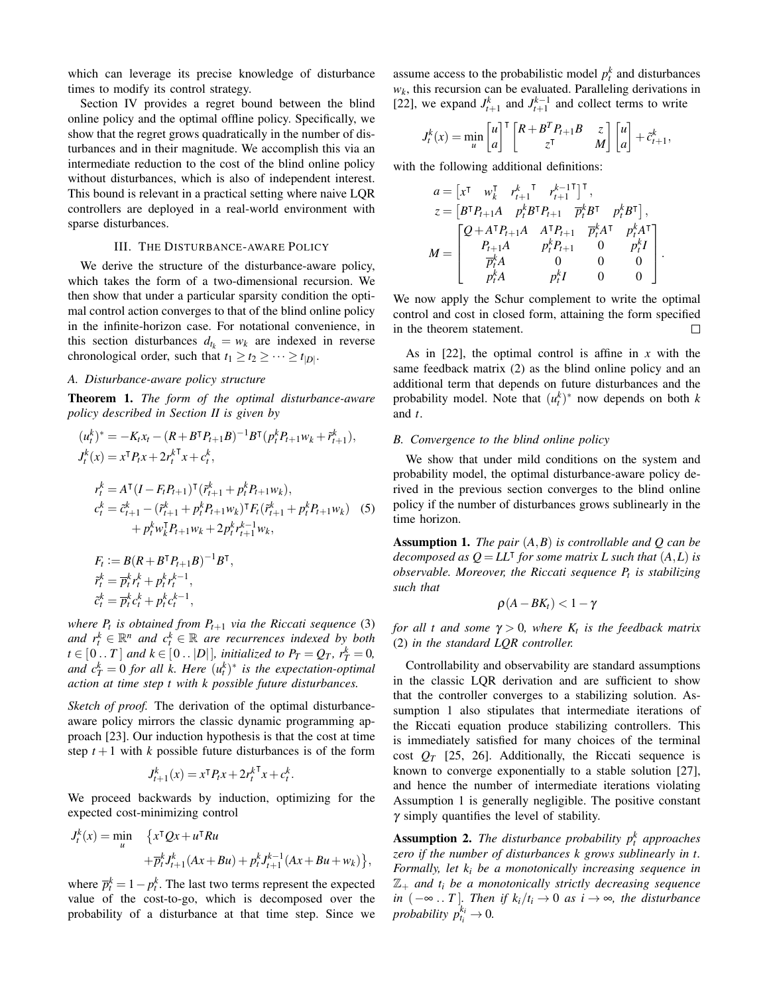which can leverage its precise knowledge of disturbance times to modify its control strategy.

Section IV provides a regret bound between the blind online policy and the optimal offline policy. Specifically, we show that the regret grows quadratically in the number of disturbances and in their magnitude. We accomplish this via an intermediate reduction to the cost of the blind online policy without disturbances, which is also of independent interest. This bound is relevant in a practical setting where naive LQR controllers are deployed in a real-world environment with sparse disturbances.

#### III. THE DISTURBANCE-AWARE POLICY

We derive the structure of the disturbance-aware policy, which takes the form of a two-dimensional recursion. We then show that under a particular sparsity condition the optimal control action converges to that of the blind online policy in the infinite-horizon case. For notational convenience, in this section disturbances  $d_{t_k} = w_k$  are indexed in reverse chronological order, such that  $t_1 \geq t_2 \geq \cdots \geq t_{|D|}$ .

## *A. Disturbance-aware policy structure*

Theorem 1. *The form of the optimal disturbance-aware policy described in Section II is given by*

$$
(u_t^k)^* = -K_t x_t - (R + B^\mathsf{T} P_{t+1} B)^{-1} B^\mathsf{T} (p_t^k P_{t+1} w_k + \tilde{r}_{t+1}^k),
$$
  
\n
$$
J_t^k(x) = x^\mathsf{T} P_t x + 2r_t^{k \mathsf{T}} x + c_t^k,
$$
  
\n
$$
r_t^k = A^\mathsf{T} (I - F_t P_{t+1})^\mathsf{T} (\tilde{r}_{t+1}^k + p_t^k P_{t+1} w_k),
$$
  
\n
$$
c_t^k = \tilde{c}_{t+1}^k - (\tilde{r}_{t+1}^k + p_t^k P_{t+1} w_k)^\mathsf{T} F_t (\tilde{r}_{t+1}^k + p_t^k P_{t+1} w_k)
$$
 (5)  
\n
$$
+ p_t^k w_k^\mathsf{T} P_{t+1} w_k + 2p_t^k r_{t+1}^{k-1} w_k,
$$

$$
F_t := B(R + B^{\mathsf{T}} P_{t+1} B)^{-1} B^{\mathsf{T}},
$$
  
\n
$$
\tilde{r}_t^k = \overline{p}_t^k r_t^k + p_t^k r_t^{k-1},
$$
  
\n
$$
\tilde{c}_t^k = \overline{p}_t^k c_t^k + p_t^k c_t^{k-1},
$$

*where P<sup>t</sup> is obtained from Pt*+<sup>1</sup> *via the Riccati sequence* (3) *and*  $r_t^k \in \mathbb{R}^n$  *and*  $c_t^k \in \mathbb{R}$  *are recurrences indexed by both*  $t \in [0..T]$  and  $k \in [0..|D|]$ *, initialized to*  $P_T = Q_T$ *,*  $r_T^k = 0$ *, and*  $c_T^k = 0$  *for all k. Here*  $(u_t^k)^*$  *is the expectation-optimal action at time step t with k possible future disturbances.*

*Sketch of proof.* The derivation of the optimal disturbanceaware policy mirrors the classic dynamic programming approach [23]. Our induction hypothesis is that the cost at time step  $t + 1$  with *k* possible future disturbances is of the form

$$
J_{t+1}^k(x) = x^{\mathsf{T}} P_t x + 2 r_t^{k\mathsf{T}} x + c_t^k.
$$

We proceed backwards by induction, optimizing for the expected cost-minimizing control

$$
J_t^k(x) = \min_{u} \quad \left\{ x^{\mathsf{T}} Q x + u^{\mathsf{T}} R u + \overline{p}_t^k J_{t+1}^k (Ax + Bu) + p_t^k J_{t+1}^{k-1} (Ax + Bu + w_k) \right\},\,
$$

where  $\overline{p}_t^k = 1 - p_t^k$ . The last two terms represent the expected value of the cost-to-go, which is decomposed over the probability of a disturbance at that time step. Since we assume access to the probabilistic model  $p_t^k$  and disturbances  $w_k$ , this recursion can be evaluated. Paralleling derivations in [22], we expand  $J_{t+1}^k$  and  $J_{t+1}^{k-1}$  and collect terms to write

$$
J_t^k(x) = \min_{u} \begin{bmatrix} u \\ a \end{bmatrix}^\mathsf{T} \begin{bmatrix} R + B^T P_{t+1} B & z \\ z^\mathsf{T} & M \end{bmatrix} \begin{bmatrix} u \\ a \end{bmatrix} + \tilde{c}_{t+1}^k,
$$

with the following additional definitions:

$$
a = \begin{bmatrix} x^{\mathsf{T}} & w_k^{\mathsf{T}} & r_{t+1}^k & r_{t+1}^{k-1\mathsf{T}} \end{bmatrix}^{\mathsf{T}},
$$
  
\n
$$
z = \begin{bmatrix} B^{\mathsf{T}} P_{t+1} A & p_t^k B^{\mathsf{T}} P_{t+1} & \overline{p}_t^k B^{\mathsf{T}} & p_t^k B^{\mathsf{T}} \end{bmatrix},
$$
  
\n
$$
M = \begin{bmatrix} Q + A^{\mathsf{T}} P_{t+1} A & A^{\mathsf{T}} P_{t+1} & \overline{p}_t^k A^{\mathsf{T}} & p_t^k A^{\mathsf{T}} \\ P_{t+1} A & p_t^k P_{t+1} & 0 & p_t^k I \\ \overline{p}_t^k A & 0 & 0 & 0 \\ p_t^k A & p_t^k I & 0 & 0 \end{bmatrix}
$$

.

We now apply the Schur complement to write the optimal control and cost in closed form, attaining the form specified in the theorem statement.  $\Box$ 

As in [22], the optimal control is affine in *x* with the same feedback matrix (2) as the blind online policy and an additional term that depends on future disturbances and the probability model. Note that  $(u_t^k)^*$  now depends on both *k* and *t*.

#### *B. Convergence to the blind online policy*

We show that under mild conditions on the system and probability model, the optimal disturbance-aware policy derived in the previous section converges to the blind online policy if the number of disturbances grows sublinearly in the time horizon.

Assumption 1. *The pair* (*A*,*B*) *is controllable and Q can be decomposed as*  $Q = LL^{\dagger}$  *for some matrix L such that*  $(A, L)$  *is observable. Moreover, the Riccati sequence P<sup>t</sup> is stabilizing such that*

$$
\rho(A-BK_t)<1-\gamma
$$

*for all t and some* γ > 0*, where K<sup>t</sup> is the feedback matrix* (2) *in the standard LQR controller.*

Controllability and observability are standard assumptions in the classic LQR derivation and are sufficient to show that the controller converges to a stabilizing solution. Assumption 1 also stipulates that intermediate iterations of the Riccati equation produce stabilizing controllers. This is immediately satisfied for many choices of the terminal cost  $Q_T$  [25, 26]. Additionally, the Riccati sequence is known to converge exponentially to a stable solution [27], and hence the number of intermediate iterations violating Assumption 1 is generally negligible. The positive constant  $\gamma$  simply quantifies the level of stability.

Assumption 2. *The disturbance probability p<sup>k</sup> <sup>t</sup> approaches zero if the number of disturbances k grows sublinearly in t. Formally, let k<sup>i</sup> be a monotonically increasing sequence in* Z<sup>+</sup> *and t<sup>i</sup> be a monotonically strictly decreasing sequence in*  $(-∞ \t . T]$ *. Then if*  $k_i / t_i → 0$  *as i* → ∞*, the disturbance probability*  $p_{t_i}^{k_i} \to 0$ .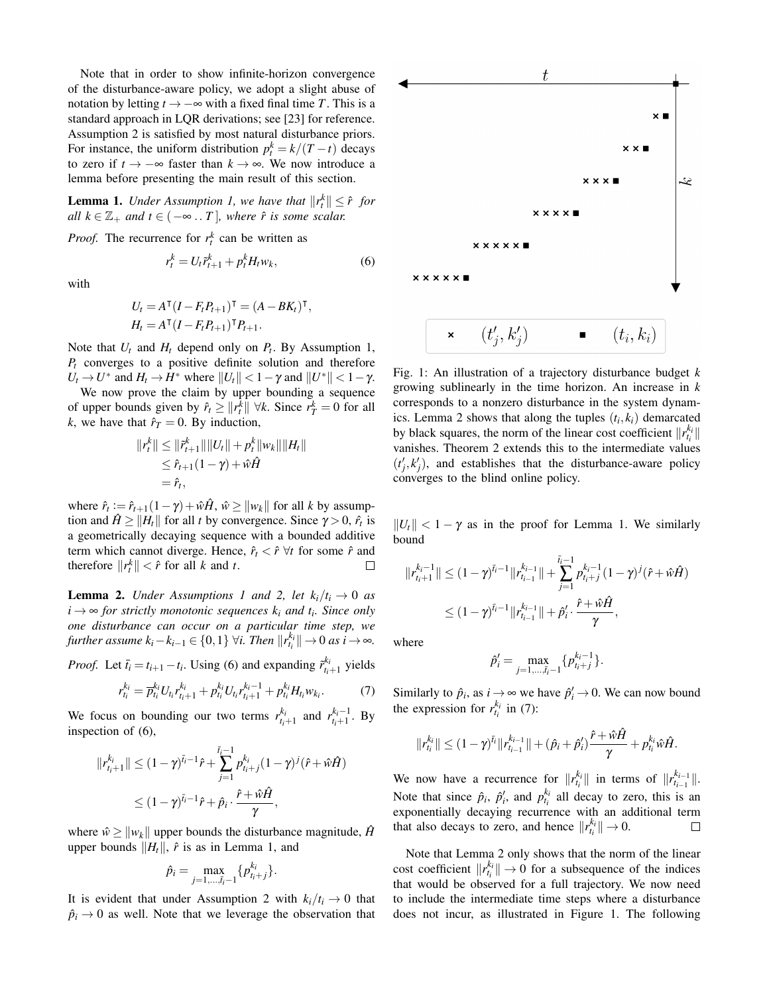Note that in order to show infinite-horizon convergence of the disturbance-aware policy, we adopt a slight abuse of notation by letting  $t \rightarrow -\infty$  with a fixed final time *T*. This is a standard approach in LQR derivations; see [23] for reference. Assumption 2 is satisfied by most natural disturbance priors. For instance, the uniform distribution  $p_t^k = k/(T-t)$  decays to zero if  $t \to -\infty$  faster than  $k \to \infty$ . We now introduce a lemma before presenting the main result of this section.

**Lemma 1.** *Under Assumption 1, we have that*  $||r_t^k|| \leq \hat{r}$  for *all*  $k \in \mathbb{Z}_+$  *and*  $t \in (-\infty, T]$ *, where*  $\hat{r}$  *is some scalar.* 

*Proof.* The recurrence for  $r_t^k$  can be written as

$$
r_t^k = U_t \tilde{r}_{t+1}^k + p_t^k H_t w_k, \tag{6}
$$

with

$$
U_t = A^{\mathsf{T}} (I - F_t P_{t+1})^{\mathsf{T}} = (A - BK_t)^{\mathsf{T}},
$$
  
\n
$$
H_t = A^{\mathsf{T}} (I - F_t P_{t+1})^{\mathsf{T}} P_{t+1}.
$$

Note that  $U_t$  and  $H_t$  depend only on  $P_t$ . By Assumption 1, *P<sup>t</sup>* converges to a positive definite solution and therefore  $U_t \rightarrow U^*$  and  $H_t \rightarrow H^*$  where  $||U_t|| < 1 - \gamma$  and  $||U^*|| < 1 - \gamma$ .

We now prove the claim by upper bounding a sequence of upper bounds given by  $\hat{r}_t \geq ||r_t^k|| \forall k$ . Since  $r_T^k = 0$  for all *k*, we have that  $\hat{r}_T = 0$ . By induction,

$$
||r_t^k|| \le ||\tilde{r}_{t+1}^k|| ||U_t|| + p_t^k ||w_k|| ||H_t||
$$
  
\n
$$
\le \hat{r}_{t+1}(1 - \gamma) + \hat{w}\hat{H}
$$
  
\n
$$
= \hat{r}_t,
$$

where  $\hat{r}_t := \hat{r}_{t+1}(1-\gamma) + \hat{w}\hat{H}$ ,  $\hat{w} \ge ||w_k||$  for all *k* by assumption and  $\hat{H} \ge ||H_t||$  for all *t* by convergence. Since  $\gamma > 0$ ,  $\hat{r}_t$  is a geometrically decaying sequence with a bounded additive term which cannot diverge. Hence,  $\hat{r}_t < \hat{r}$   $\forall t$  for some  $\hat{r}$  and therefore  $||r_t^k|| < \hat{r}$  for all *k* and *t*.  $\Box$ 

**Lemma 2.** *Under Assumptions 1 and 2, let*  $k_i/t_i \rightarrow 0$  *as*  $i \rightarrow \infty$  *for strictly monotonic sequences*  $k_i$  *and t<sub>i</sub>. Since only one disturbance can occur on a particular time step, we further assume*  $k_i - k_{i-1} \in \{0, 1\}$   $\forall i$ . Then  $||r_{t_i}^{k_i}|| \rightarrow 0$  as  $i \rightarrow \infty$ .

*Proof.* Let  $\bar{t}_i = t_{i+1} - t_i$ . Using (6) and expanding  $\tilde{r}^{k_i}_{t_{i+1}}$  yields

$$
r_{t_i}^{k_i} = \overline{p}_{t_i}^{k_i} U_{t_i} r_{t_i+1}^{k_i} + p_{t_i}^{k_i} U_{t_i} r_{t_i+1}^{k_i-1} + p_{t_i}^{k_i} H_{t_i} w_{k_i}.
$$
 (7)

We focus on bounding our two terms  $r_{t_i+1}^{k_i}$  and  $r_{t_i+1}^{k_i-1}$ . By inspection of (6),

$$
||r_{t_i+1}^{k_i}|| \leq (1-\gamma)^{\bar{t}_i-1}\hat{r} + \sum_{j=1}^{\bar{t}_i-1} p_{t_i+j}^{k_i} (1-\gamma)^j (\hat{r}+\hat{w}\hat{H})
$$
  

$$
\leq (1-\gamma)^{\bar{t}_i-1}\hat{r} + \hat{p}_i \cdot \frac{\hat{r}+\hat{w}\hat{H}}{\gamma},
$$

where  $\hat{w} \ge ||w_k||$  upper bounds the disturbance magnitude,  $\hat{H}$ upper bounds  $||H_t||$ ,  $\hat{r}$  is as in Lemma 1, and

$$
\hat{p}_i = \max_{j=1,\ldots,\bar{i}_i-1} \{p_{t_i+j}^{k_i}\}.
$$

It is evident that under Assumption 2 with  $k_i/t_i \rightarrow 0$  that  $\hat{p}_i \rightarrow 0$  as well. Note that we leverage the observation that



Fig. 1: An illustration of a trajectory disturbance budget *k* growing sublinearly in the time horizon. An increase in *k* corresponds to a nonzero disturbance in the system dynamics. Lemma 2 shows that along the tuples  $(t_i, k_i)$  demarcated by black squares, the norm of the linear cost coefficient  $\Vert r_i^{k_i} \Vert$ vanishes. Theorem 2 extends this to the intermediate values  $(t'_j, k'_j)$ , and establishes that the disturbance-aware policy converges to the blind online policy.

 $||U_t|| < 1 - \gamma$  as in the proof for Lemma 1. We similarly bound

$$
||r_{t_{i}+1}^{k_{i}-1}|| \leq (1-\gamma)^{\bar{t}_{i}-1} ||r_{t_{i-1}}^{k_{i-1}}|| + \sum_{j=1}^{\bar{t}_{i}-1} p_{t_{i}+j}^{k_{i}-1} (1-\gamma)^{j} (\hat{r} + \hat{w}\hat{H})
$$
  

$$
\leq (1-\gamma)^{\bar{t}_{i}-1} ||r_{t_{i-1}}^{k_{i-1}}|| + \hat{p}_{i}' \cdot \frac{\hat{r} + \hat{w}\hat{H}}{\gamma},
$$

where

$$
\hat{p}'_i = \max_{j=1,\dots,\bar{t}_i-1} \{p^{k_i-1}_{t_i+j}\}.
$$

Similarly to  $\hat{p}_i$ , as  $i \to \infty$  we have  $\hat{p}'_i \to 0$ . We can now bound the expression for  $r_{t_i}^{k_i}$  in (7):

$$
||r_{t_i}^{k_i}|| \leq (1-\gamma)^{\tilde{t}_i}||r_{t_{i-1}}^{k_{i-1}}|| + (\hat{p}_i + \hat{p}_i')\frac{\hat{r} + \hat{w}\hat{H}}{\gamma} + p_{t_i}^{k_i}\hat{w}\hat{H}.
$$

We now have a recurrence for  $||r_{t_i}^{k_i}||$  in terms of  $||r_{t_{i-1}}^{k_{i-1}}||$ . Note that since  $\hat{p}_i$ ,  $\hat{p}'_i$ , and  $p_{t_i}^{k_i}$  all decay to zero, this is an exponentially decaying recurrence with an additional term that also decays to zero, and hence  $||r_{t_i}^{k_i}|| \to 0$ .  $\Box$ 

Note that Lemma 2 only shows that the norm of the linear cost coefficient  $||r_{t_i}^{k_i}|| \rightarrow 0$  for a subsequence of the indices that would be observed for a full trajectory. We now need to include the intermediate time steps where a disturbance does not incur, as illustrated in Figure 1. The following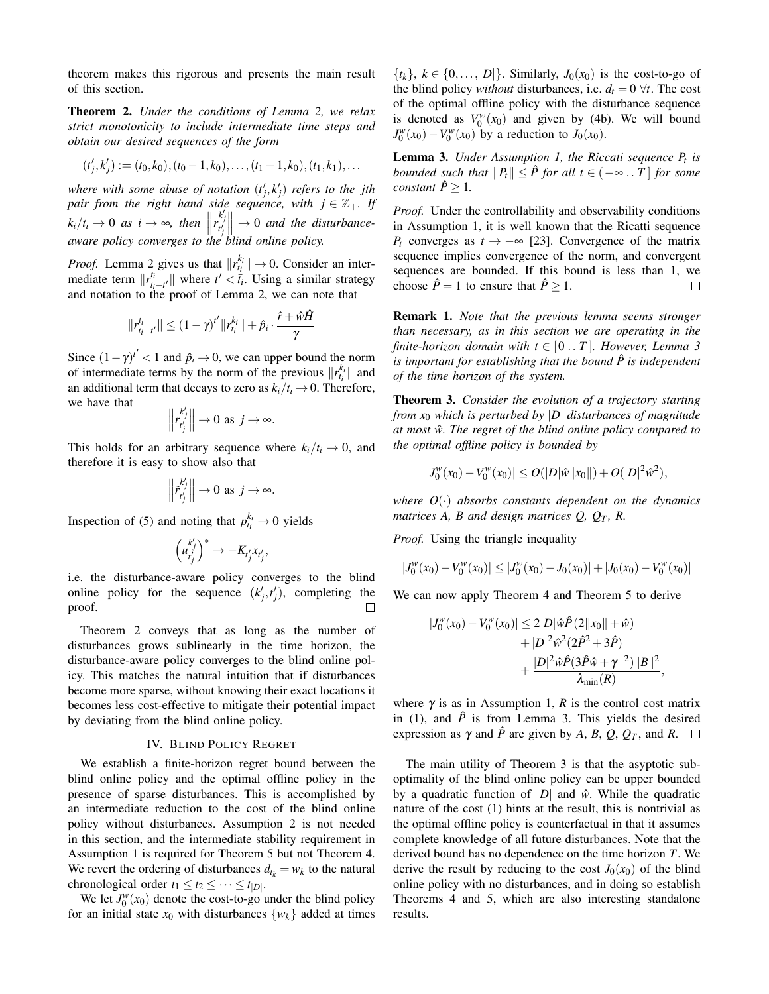theorem makes this rigorous and presents the main result of this section.

Theorem 2. *Under the conditions of Lemma 2, we relax strict monotonicity to include intermediate time steps and obtain our desired sequences of the form*

$$
(t'_j,k'_j):=(t_0,k_0),(t_0-1,k_0),\ldots,(t_1+1,k_0),(t_1,k_1),\ldots
$$

where with some abuse of notation  $(t'_j, k'_j)$  refers to the jth  $p$ *air from the right hand side sequence, with*  $j \in \mathbb{Z}_+$ *. If*  $k_i/t_i \to 0$  *as i*  $\to \infty$ *, then*  $\left\| \begin{matrix} k' \\ r' \\ t'_j \end{matrix} \right\|$  $\parallel \rightarrow 0$  *and the disturbanceaware policy converges to the blind online policy.*

*Proof.* Lemma 2 gives us that  $||r_{t_i}^{k_i}|| \rightarrow 0$ . Consider an intermediate term  $\Vert r_t^{t_i} \Vert$  $\frac{t_i}{t_i - t'}$  where  $t' < \overline{t_i}$ . Using a similar strategy and notation to the proof of Lemma 2, we can note that

$$
\|r^{t_i}_{t_i-t'}\| \leq (1-\gamma)^{t'}\|r^{k_i}_{t_i}\| + \hat{p}_i \cdot \frac{\hat{r} + \hat{w}\hat{H}}{\gamma}
$$

Since  $(1 - \gamma)^{t'} < 1$  and  $\hat{p}_i \to 0$ , we can upper bound the norm of intermediate terms by the norm of the previous  $||r_{t_i}^{k_i}||$  and an additional term that decays to zero as  $k_i/t_i \rightarrow 0$ . Therefore, we have that

$$
\left\|r_{t'_j}^{k'_j}\right\| \to 0 \text{ as } j \to \infty.
$$

This holds for an arbitrary sequence where  $k_i/t_i \rightarrow 0$ , and therefore it is easy to show also that

$$
\left\|\tilde{r}_{t'_j}^{k'_j}\right\| \to 0 \text{ as } j \to \infty.
$$

Inspection of (5) and noting that  $p_{t_i}^{k_i} \to 0$  yields

$$
\left(u_{t'_j}^{k'_j}\right)^* \to -K_{t'_j}x_{t'_j},
$$

i.e. the disturbance-aware policy converges to the blind online policy for the sequence  $(k'_j, t'_j)$ , completing the proof.  $\Box$ 

Theorem 2 conveys that as long as the number of disturbances grows sublinearly in the time horizon, the disturbance-aware policy converges to the blind online policy. This matches the natural intuition that if disturbances become more sparse, without knowing their exact locations it becomes less cost-effective to mitigate their potential impact by deviating from the blind online policy.

### IV. BLIND POLICY REGRET

We establish a finite-horizon regret bound between the blind online policy and the optimal offline policy in the presence of sparse disturbances. This is accomplished by an intermediate reduction to the cost of the blind online policy without disturbances. Assumption 2 is not needed in this section, and the intermediate stability requirement in Assumption 1 is required for Theorem 5 but not Theorem 4. We revert the ordering of disturbances  $d_{t_k} = w_k$  to the natural chronological order  $t_1 \leq t_2 \leq \cdots \leq t_{|D|}$ .

We let  $J_0^w(x_0)$  denote the cost-to-go under the blind policy for an initial state  $x_0$  with disturbances  $\{w_k\}$  added at times  $\{t_k\}$ ,  $k \in \{0, \ldots, |D|\}$ . Similarly,  $J_0(x_0)$  is the cost-to-go of the blind policy *without* disturbances, i.e.  $d_t = 0 \ \forall t$ . The cost of the optimal offline policy with the disturbance sequence is denoted as  $V_0^w(x_0)$  and given by (4b). We will bound  $J_0^w(x_0) - V_0^w(x_0)$  by a reduction to *J*<sub>0</sub>(*x*<sub>0</sub>).

Lemma 3. *Under Assumption 1, the Riccati sequence P<sup>t</sup> is bounded such that*  $||P_t|| \leq \hat{P}$  *for all t* ∈ ( $-\infty$ .. *T* ] *for some constant*  $\hat{P} \geq 1$ *.* 

*Proof.* Under the controllability and observability conditions in Assumption 1, it is well known that the Ricatti sequence *P*<sup>*t*</sup> converges as *t* → −∞ [23]. Convergence of the matrix sequence implies convergence of the norm, and convergent sequences are bounded. If this bound is less than 1, we choose  $\hat{P} = 1$  to ensure that  $\hat{P} \geq 1$ .  $\Box$ 

Remark 1. *Note that the previous lemma seems stronger than necessary, as in this section we are operating in the finite-horizon domain with*  $t \in [0..T]$ *. However, Lemma 3 is important for establishing that the bound*  $\hat{P}$  *is independent of the time horizon of the system.*

Theorem 3. *Consider the evolution of a trajectory starting from x*<sup>0</sup> *which is perturbed by* |*D*| *disturbances of magnitude at most*  $\hat{w}$ . The regret of the blind online policy compared to *the optimal offline policy is bounded by*

$$
|J_0^w(x_0) - V_0^w(x_0)| \le O(|D|\hat{w}||x_0||) + O(|D|^2\hat{w}^2),
$$

*where O*(·) *absorbs constants dependent on the dynamics matrices A, B and design matrices*  $Q$ *,*  $Q_T$ *, R.* 

*Proof.* Using the triangle inequality

$$
|J_0^w(x_0) - V_0^w(x_0)| \le |J_0^w(x_0) - J_0(x_0)| + |J_0(x_0) - V_0^w(x_0)|
$$

We can now apply Theorem 4 and Theorem 5 to derive

$$
|J_0^w(x_0) - V_0^w(x_0)| \le 2|D|\hat{w}\hat{P}(2||x_0|| + \hat{w})
$$
  
+ |D|^2 \hat{w}^2 (2\hat{P}^2 + 3\hat{P})  
+ 
$$
\frac{|D|^2 \hat{w}\hat{P}(3\hat{P}\hat{w} + \gamma^{-2})||B||^2}{\lambda_{\min}(R)}
$$

,

where  $\gamma$  is as in Assumption 1,  $R$  is the control cost matrix in (1), and  $\hat{P}$  is from Lemma 3. This yields the desired expression as  $\gamma$  and  $\hat{P}$  are given by *A*, *B*, *Q*, *Q<sub>T</sub>*, and *R*.  $\Box$ 

The main utility of Theorem 3 is that the asyptotic suboptimality of the blind online policy can be upper bounded by a quadratic function of  $|D|$  and  $\hat{w}$ . While the quadratic nature of the cost (1) hints at the result, this is nontrivial as the optimal offline policy is counterfactual in that it assumes complete knowledge of all future disturbances. Note that the derived bound has no dependence on the time horizon *T*. We derive the result by reducing to the cost  $J_0(x_0)$  of the blind online policy with no disturbances, and in doing so establish Theorems 4 and 5, which are also interesting standalone results.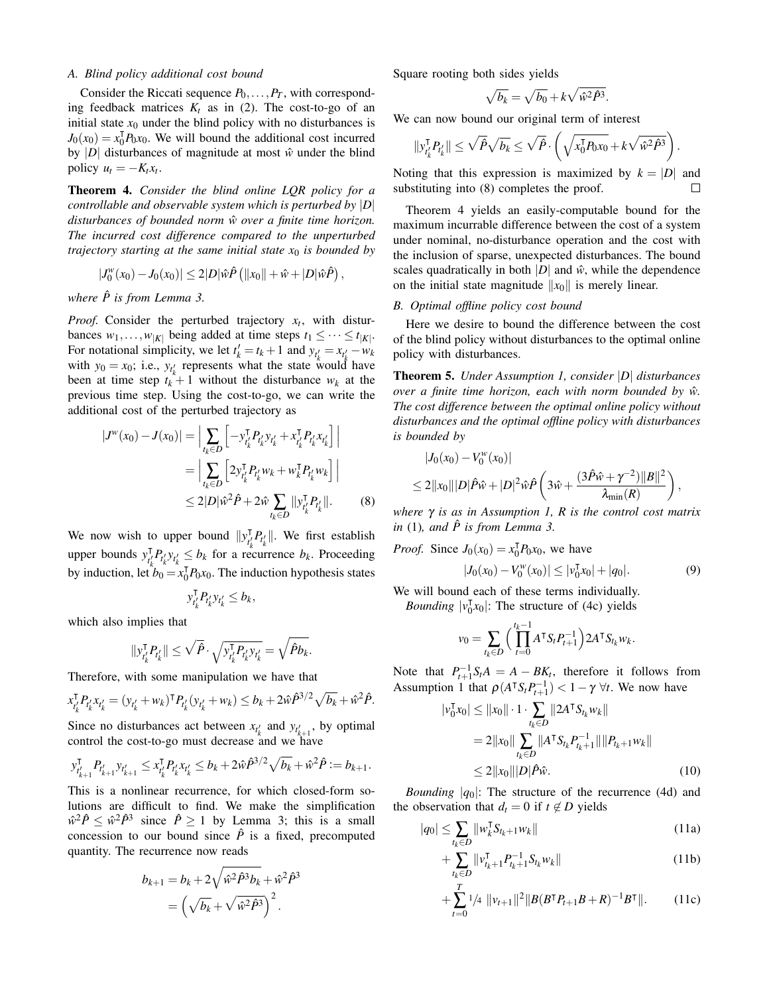## *A. Blind policy additional cost bound*

Consider the Riccati sequence  $P_0$ , ...,  $P_T$ , with corresponding feedback matrices  $K_t$  as in (2). The cost-to-go of an initial state  $x_0$  under the blind policy with no disturbances is  $J_0(x_0) = x_0^{\text{T}}$  $\int_0^T P_0 x_0$ . We will bound the additional cost incurred by |*D*| disturbances of magnitude at most  $\hat{w}$  under the blind policy  $u_t = -K_t x_t$ .

Theorem 4. *Consider the blind online LQR policy for a controllable and observable system which is perturbed by* |*D*| *disturbances of bounded norm*  $\hat{w}$  *over a finite time horizon. The incurred cost difference compared to the unperturbed trajectory starting at the same initial state*  $x_0$  *is bounded by* 

$$
|J_0^w(x_0) - J_0(x_0)| \leq 2|D|\hat{w}\hat{P} (||x_0|| + \hat{w} + |D|\hat{w}\hat{P}),
$$

*where*  $\hat{P}$  *is from Lemma 3.* 

*Proof.* Consider the perturbed trajectory  $x_t$ , with disturbances  $w_1, \ldots, w_{|K|}$  being added at time steps  $t_1 \leq \cdots \leq t_{|K|}$ . For notational simplicity, we let  $t'_{k} = t_{k} + 1$  and  $y_{t'_{k}} = x_{t'_{k}} - w_{k}$ with  $y_0 = x_0$ ; i.e.,  $y_{t_k}$  represents what the state would have been at time step  $t_k^{\uparrow} + 1$  without the disturbance  $w_k$  at the previous time step. Using the cost-to-go, we can write the additional cost of the perturbed trajectory as

$$
|J^{w}(x_{0}) - J(x_{0})| = \Big| \sum_{t_{k} \in D} \Big[ -y_{t'_{k}}^{\mathsf{T}} P_{t'_{k}} y_{t'_{k}} + x_{t'_{k}}^{\mathsf{T}} P_{t'_{k}} x_{t'_{k}} \Big] \Big|
$$
  

$$
= \Big| \sum_{t_{k} \in D} \Big[ 2y_{t'_{k}}^{\mathsf{T}} P_{t'_{k}} w_{k} + w_{k}^{\mathsf{T}} P_{t'_{k}} w_{k} \Big] \Big|
$$
  

$$
\leq 2|D|\hat{w}^{2}\hat{P} + 2\hat{w} \sum_{t_{k} \in D} ||y_{t'_{k}}^{\mathsf{T}} P_{t'_{k}}||. \tag{8}
$$

We now wish to upper bound  $||y_{t'}^{\dagger}||$  $T_{t_k'}$ ,  $P_{t_k'}$ , we first establish upper bounds  $y_{t}^{\mathsf{T}}$  $\int_{k}^{T} P_{t_k}^{j} y_{t_k} \leq b_k$  for a recurrence  $b_k$ . Proceeding by induction, let  $b_0 = x_0^{\mathsf{T}}$  ${}_{0}^{T}P_{0}x_{0}$ . The induction hypothesis states

$$
y_{t'_{k}}^{\mathsf{T}} P_{t'_{k}} y_{t'_{k}} \leq b_{k},
$$

which also implies that

$$
\|y_{t_k'}^{\mathsf{T}} P_{t_k'}\| \leq \sqrt{\hat{P}} \cdot \sqrt{y_{t_k'}^{\mathsf{T}} P_{t_k'} y_{t_k'}} = \sqrt{\hat{P} b_k}.
$$

Therefore, with some manipulation we have that

$$
x_{t'_{k}}^{\mathsf{T}} P_{t'_{k}} x_{t'_{k}} = (y_{t'_{k}} + w_{k})^{\mathsf{T}} P_{t'_{k}} (y_{t'_{k}} + w_{k}) \leq b_{k} + 2 \hat{w} \hat{P}^{3/2} \sqrt{b_{k}} + \hat{w}^{2} \hat{P}.
$$

Since no disturbances act between  $x_{t_k'}$  and  $y_{t_{k+1}'}$ , by optimal control the cost-to-go must decrease and we have

$$
y_{t'_{k+1}}^T P_{t'_{k+1}} y_{t'_{k+1}} \leq x_{t'_{k}}^T P_{t'_{k}} x_{t'_{k}} \leq b_k + 2\hat{w}\hat{P}^{3/2} \sqrt{b_k} + \hat{w}^2 \hat{P} := b_{k+1}.
$$

This is a nonlinear recurrence, for which closed-form solutions are difficult to find. We make the simplification  $\hat{w}^2 \hat{P} \leq \hat{w}^2 \hat{P}^3$  since  $\hat{P} \geq 1$  by Lemma 3; this is a small concession to our bound since  $\hat{P}$  is a fixed, precomputed quantity. The recurrence now reads

$$
b_{k+1} = b_k + 2\sqrt{\hat{w}^2 \hat{P}^3 b_k} + \hat{w}^2 \hat{P}^3
$$

$$
= \left(\sqrt{b_k} + \sqrt{\hat{w}^2 \hat{P}^3}\right)^2.
$$

Square rooting both sides yields

$$
\sqrt{b_k} = \sqrt{b_0} + k\sqrt{\hat{w}^2 \hat{P}^3}.
$$

We can now bound our original term of interest

$$
||y_{t'_{k}}^{\mathsf{T}}P_{t'_{k}}^{'}|| \leq \sqrt{\hat{P}}\sqrt{b_{k}} \leq \sqrt{\hat{P}}\cdot \left(\sqrt{x_{0}^{\mathsf{T}}P_{0}x_{0}} + k\sqrt{\hat{w}^{2}\hat{P}^{3}}\right).
$$

Noting that this expression is maximized by  $k = |D|$  and substituting into (8) completes the proof.  $\Box$ 

Theorem 4 yields an easily-computable bound for the maximum incurrable difference between the cost of a system under nominal, no-disturbance operation and the cost with the inclusion of sparse, unexpected disturbances. The bound scales quadratically in both  $|D|$  and  $\hat{w}$ , while the dependence on the initial state magnitude  $||x_0||$  is merely linear.

## *B. Optimal offline policy cost bound*

Here we desire to bound the difference between the cost of the blind policy without disturbances to the optimal online policy with disturbances.

Theorem 5. *Under Assumption 1, consider* |*D*| *disturbances over a finite time horizon, each with norm bounded by*  $\hat{w}$ *. The cost difference between the optimal online policy without disturbances and the optimal offline policy with disturbances is bounded by*

$$
\begin{aligned} &|J_0(x_0)-V_0^w(x_0)|\\ &\leq 2\|x_0\||D|\hat{P}\hat{w}+|D|^2\hat{w}\hat{P}\left(3\hat{w}+\frac{(3\hat{P}\hat{w}+\gamma^{-2})\|B\|^2}{\lambda_{\min}(R)}\right),\end{aligned}
$$

*where* γ *is as in Assumption 1, R is the control cost matrix in* (1), and  $\hat{P}$  *is from Lemma 3.* 

*Proof.* Since 
$$
J_0(x_0) = x_0^{\mathsf{T}} P_0 x_0
$$
, we have  

$$
|J_0(x_0) - V_0^w(x_0)| \le |v_0^{\mathsf{T}} x_0| + |q_0|.
$$
 (9)

We will bound each of these terms individually.  $Bounding \ |v_0^{\dagger}$  $\binom{7}{0}$  : The structure of (4c) yields

$$
v_0 = \sum_{t_k \in D} \Big( \prod_{t=0}^{t_k-1} A^{\mathsf{T}} S_t P_{t+1}^{-1} \Big) 2 A^{\mathsf{T}} S_{t_k} w_k.
$$

Note that  $P_{t+1}^{-1}S_tA = A - BK_t$ , therefore it follows from Assumption 1 that  $\rho(A^\dagger S_t P_{t+1}^{-1}) < 1 - \gamma \ \forall t$ . We now have

$$
|v_0^{\mathsf{T}} x_0| \le ||x_0|| \cdot 1 \cdot \sum_{t_k \in D} ||2A^{\mathsf{T}} S_{t_k} w_k||
$$
  
= 2||x\_0||  $\sum_{t_k \in D} ||A^{\mathsf{T}} S_{t_k} P_{t_k+1}^{-1}|| ||P_{t_k+1} w_k||$   
 $\le 2||x_0|| |D| \hat{P} \hat{w}.$  (10)

*Bounding* |q<sub>0</sub>|: The structure of the recurrence (4d) and the observation that  $d_t = 0$  if  $t \notin D$  yields

$$
|q_0| \le \sum_{t_k \in D} ||w_k^{\mathsf{T}} S_{t_k + 1} w_k|| \tag{11a}
$$

$$
+\sum_{t_k \in D} \|\mathbf{v}_{t_k+1}^{\mathsf{T}} P_{t_k+1}^{-1} S_{t_k} w_k\| \tag{11b}
$$

$$
+\sum_{t=0}^{T} \frac{1}{4} \|\mathbf{v}_{t+1}\|^2 \|B(B^{\mathsf{T}} P_{t+1} B + R)^{-1} B^{\mathsf{T}}\|.
$$
 (11c)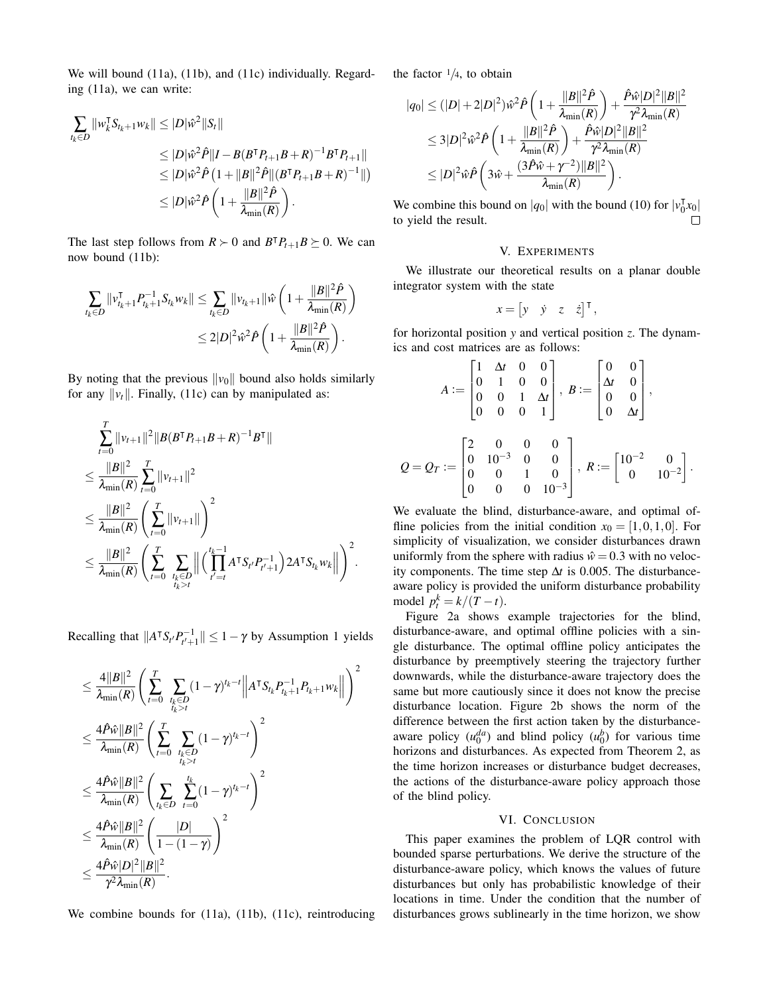We will bound (11a), (11b), and (11c) individually. Regarding (11a), we can write:

$$
\sum_{t_k \in D} ||w_k^{\mathsf{T}} S_{t_k+1} w_k|| \leq |D|\hat{w}^2||S_t||
$$
  
\n
$$
\leq |D|\hat{w}^2 \hat{P}||I - B(B^{\mathsf{T}} P_{t+1} B + R)^{-1} B^{\mathsf{T}} P_{t+1}||
$$
  
\n
$$
\leq |D|\hat{w}^2 \hat{P} (1 + ||B||^2 \hat{P} ||(B^{\mathsf{T}} P_{t+1} B + R)^{-1}||)
$$
  
\n
$$
\leq |D|\hat{w}^2 \hat{P} (1 + \frac{||B||^2 \hat{P}}{\lambda_{\min}(R)}) .
$$

The last step follows from  $R \succ 0$  and  $B^{\dagger}P_{t+1}B \succeq 0$ . We can now bound (11b):

$$
\begin{aligned} \sum_{t_k \in D} \|v_{t_k+1}^{\intercal} P_{t_k+1}^{-1} S_{t_k} w_k\| &\leq \sum_{t_k \in D} \|v_{t_k+1}\| \hat{w} \left(1 + \frac{\|B\|^2 \hat{P}}{\lambda_{\min}(R)} \right) \\ &\leq 2|D|^2 \hat{w}^2 \hat{P} \left(1 + \frac{\|B\|^2 \hat{P}}{\lambda_{\min}(R)} \right). \end{aligned}
$$

By noting that the previous  $\|v_0\|$  bound also holds similarly for any  $\|\nu_t\|$ . Finally, (11c) can by manipulated as:

$$
\sum_{t=0}^{T} ||v_{t+1}||^{2} ||B(B^{\mathsf{T}} P_{t+1} B + R)^{-1} B^{\mathsf{T}}||
$$
\n
$$
\leq \frac{||B||^{2}}{\lambda_{\min}(R)} \sum_{t=0}^{T} ||v_{t+1}||^{2}
$$
\n
$$
\leq \frac{||B||^{2}}{\lambda_{\min}(R)} \left(\sum_{t=0}^{T} ||v_{t+1}||\right)^{2}
$$
\n
$$
\leq \frac{||B||^{2}}{\lambda_{\min}(R)} \left(\sum_{t=0}^{T} \sum_{\substack{I_{k} \in D \\ I_{k} > t}} || \left(\prod_{t'=t}^{I_{k}-1} A^{\mathsf{T}} S_{t'} P_{t'+1}^{-1}\right) 2 A^{\mathsf{T}} S_{t_{k}} w_{k} || \right)^{2}.
$$

Recalling that  $||A^\intercal S_{t'} P_{t'+1}^{-1}|| \leq 1 - \gamma$  by Assumption 1 yields

$$
\leq \frac{4||B||^2}{\lambda_{\min}(R)} \Bigg( \sum_{t=0}^T \sum_{\substack{t_k \in D \\ t_k > t}} (1-\gamma)^{t_k-t} \Big\| A^\intercal S_{t_k} P_{t_k+1}^{-1} P_{t_k+1} w_k \Big\| \Bigg)^2 \\ \leq \frac{4 \hat{P} \hat{w} ||B||^2}{\lambda_{\min}(R)} \Bigg( \sum_{t=0}^T \sum_{\substack{t_k \in D \\ t_k > t}} (1-\gamma)^{t_k-t} \Bigg)^2 \\ \leq \frac{4 \hat{P} \hat{w} ||B||^2}{\lambda_{\min}(R)} \Bigg( \sum_{t_k \in D} \sum_{t=0}^{t_k} (1-\gamma)^{t_k-t} \Bigg)^2 \\ \leq \frac{4 \hat{P} \hat{w} ||B||^2}{\lambda_{\min}(R)} \Bigg( \frac{|D|}{1-(1-\gamma)} \Bigg)^2 \\ \leq \frac{4 \hat{P} \hat{w} |D|^2 ||B||^2}{\gamma^2 \lambda_{\min}(R)}.
$$

We combine bounds for (11a), (11b), (11c), reintroducing

the factor  $1/4$ , to obtain

*Q* = *Q<sup>T</sup>* :=

$$
|q_0| \leq (|D|+2|D|^2)\hat{w}^2\hat{P}\left(1+\frac{\|B\|^2\hat{P}}{\lambda_{\min}(R)}\right) + \frac{\hat{P}\hat{w}|D|^2\|B\|^2}{\gamma^2\lambda_{\min}(R)}
$$
  
\n
$$
\leq 3|D|^2\hat{w}^2\hat{P}\left(1+\frac{\|B\|^2\hat{P}}{\lambda_{\min}(R)}\right) + \frac{\hat{P}\hat{w}|D|^2\|B\|^2}{\gamma^2\lambda_{\min}(R)}
$$
  
\n
$$
\leq |D|^2\hat{w}\hat{P}\left(3\hat{w} + \frac{(3\hat{P}\hat{w} + \gamma^{-2})\|B\|^2}{\lambda_{\min}(R)}\right).
$$

We combine this bound on  $|q_0|$  with the bound (10) for  $|v_0|$  $\frac{1}{0}x_0$ to yield the result. П

## V. EXPERIMENTS

We illustrate our theoretical results on a planar double integrator system with the state

$$
x = \begin{bmatrix} y & \dot{y} & z & \dot{z} \end{bmatrix}^{\mathsf{T}},
$$

for horizontal position *y* and vertical position *z*. The dynamics and cost matrices are as follows:

$$
A := \begin{bmatrix} 1 & \Delta t & 0 & 0 \\ 0 & 1 & 0 & 0 \\ 0 & 0 & 1 & \Delta t \\ 0 & 0 & 0 & 1 \end{bmatrix}, B := \begin{bmatrix} 0 & 0 \\ \Delta t & 0 \\ 0 & 0 \\ 0 & \Delta t \end{bmatrix},
$$
  
=  $Q_T := \begin{bmatrix} 2 & 0 & 0 & 0 \\ 0 & 10^{-3} & 0 & 0 \\ 0 & 0 & 1 & 0 \\ 0 & 0 & 0 & 10^{-3} \end{bmatrix}, R := \begin{bmatrix} 10^{-2} & 0 \\ 0 & 10^{-2} \end{bmatrix}.$ 

We evaluate the blind, disturbance-aware, and optimal offline policies from the initial condition  $x_0 = [1, 0, 1, 0]$ . For simplicity of visualization, we consider disturbances drawn uniformly from the sphere with radius  $\hat{w} = 0.3$  with no velocity components. The time step ∆*t* is 0.005. The disturbanceaware policy is provided the uniform disturbance probability model  $p_t^k = k/(T-t)$ .

Figure 2a shows example trajectories for the blind, disturbance-aware, and optimal offline policies with a single disturbance. The optimal offline policy anticipates the disturbance by preemptively steering the trajectory further downwards, while the disturbance-aware trajectory does the same but more cautiously since it does not know the precise disturbance location. Figure 2b shows the norm of the difference between the first action taken by the disturbanceaware policy  $(u_0^{da})$  and blind policy  $(u_0^b)$  for various time horizons and disturbances. As expected from Theorem 2, as the time horizon increases or disturbance budget decreases, the actions of the disturbance-aware policy approach those of the blind policy.

# VI. CONCLUSION

This paper examines the problem of LQR control with bounded sparse perturbations. We derive the structure of the disturbance-aware policy, which knows the values of future disturbances but only has probabilistic knowledge of their locations in time. Under the condition that the number of disturbances grows sublinearly in the time horizon, we show